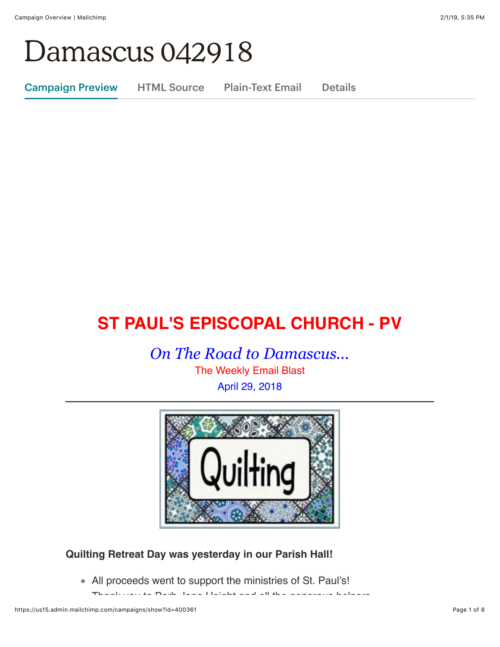# Damascus 042918

Campaign Preview HTML Source Plain-Text Email Details

# **ST PAUL'S EPISCOPAL CHURCH - PV**

*On The Road to Damascus...* The Weekly Email Blast April 29, 2018



# **Quilting Retreat Day was yesterday in our Parish Hall!**

All proceeds went to support the ministries of St. Paul's!

Thank you to Barb Jane Haight and all the generous helpers.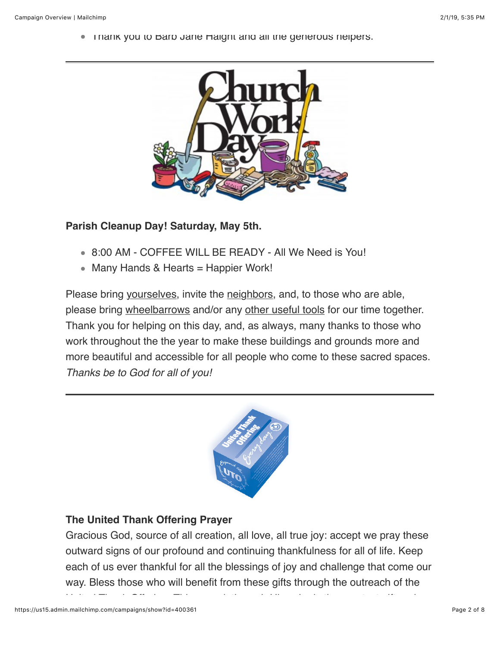**• Thank you to Barb Jane Haight and all the generous helpers.** 



#### **Parish Cleanup Day! Saturday, May 5th.**

- 8:00 AM COFFEE WILL BE READY All We Need is You!
- Many Hands & Hearts = Happier Work!

Please bring yourselves, invite the neighbors, and, to those who are able, please bring wheelbarrows and/or any other useful tools for our time together. Thank you for helping on this day, and, as always, many thanks to those who work throughout the the year to make these buildings and grounds more and more beautiful and accessible for all people who come to these sacred spaces. *Thanks be to God for all of you!*



## **The United Thank Offering Prayer**

Gracious God, source of all creation, all love, all true joy: accept we pray these outward signs of our profound and continuing thankfulness for all of life. Keep each of us ever thankful for all the blessings of joy and challenge that come our way. Bless those who will benefit from these gifts through the outreach of the

United Thank Offering. This we ask through Him who is the greatest gift and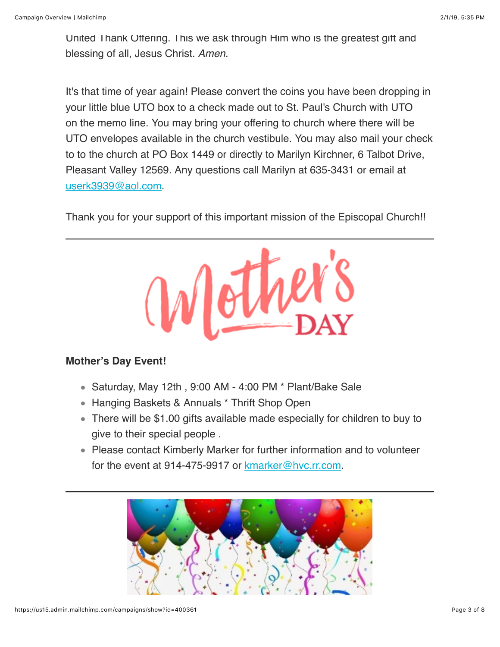United Thank Offering. This we ask through Him who is the greatest gift and blessing of all, Jesus Christ. *Amen.*

It's that time of year again! Please convert the coins you have been dropping in your little blue UTO box to a check made out to St. Paul's Church with UTO on the memo line. You may bring your offering to church where there will be UTO envelopes available in the church vestibule. You may also mail your check to to the church at PO Box 1449 or directly to Marilyn Kirchner, 6 Talbot Drive, Pleasant Valley 12569. Any questions call Marilyn at 635-3431 or email at [userk3939@aol.com.](mailto:userk3939@aol.com)

Thank you for your support of this important mission of the Episcopal Church!!



## **Mother's Day Event!**

- $\bullet$  Saturday, May 12th, 9:00 AM 4:00 PM  $^*$  Plant/Bake Sale
- Hanging Baskets & Annuals \* Thrift Shop Open
- There will be \$1.00 gifts available made especially for children to buy to give to their special people .
- Please contact Kimberly Marker for further information and to volunteer for the event at 914-475-9917 or [kmarker@hvc.rr.com.](mailto:kmarker@hvc.hvc.rr.com)

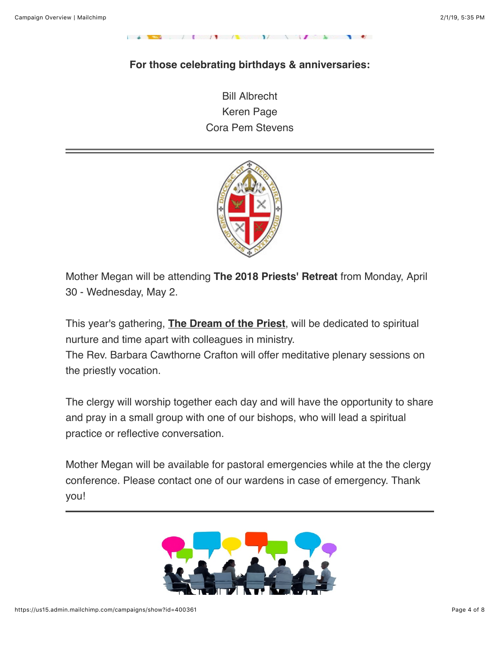## **For those celebrating birthdays & anniversaries:**

 $\mathcal{L}$  is the set of  $\mathcal{L}$  in the set of  $\mathcal{L}$ 

Bill Albrecht Keren Page Cora Pem Stevens



Mother Megan will be attending **The 2018 Priests' Retreat** from Monday, April 30 - Wednesday, May 2.

This year's gathering, **The Dream of the Priest**, will be dedicated to spiritual nurture and time apart with colleagues in ministry.

The Rev. Barbara Cawthorne Crafton will offer meditative plenary sessions on the priestly vocation.

The clergy will worship together each day and will have the opportunity to share and pray in a small group with one of our bishops, who will lead a spiritual practice or reflective conversation.

Mother Megan will be available for pastoral emergencies while at the the clergy conference. Please contact one of our wardens in case of emergency. Thank you!

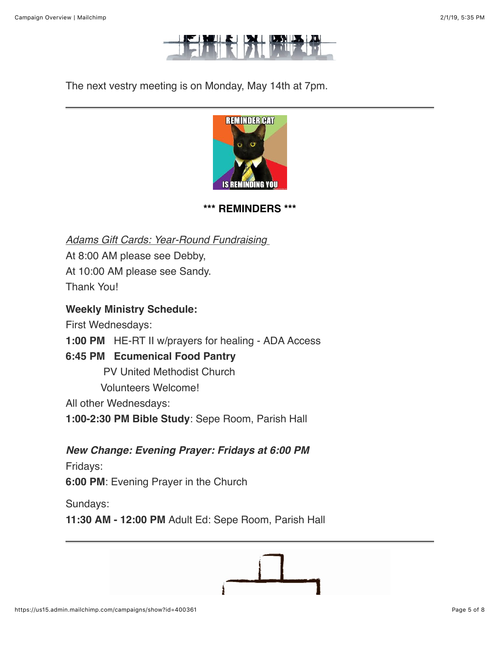

The next vestry meeting is on Monday, May 14th at 7pm.



**\*\*\* REMINDERS \*\*\***

*Adams Gift Cards: Year-Round Fundraising*  At 8:00 AM please see Debby, At 10:00 AM please see Sandy. Thank You!

#### **Weekly Ministry Schedule:**

First Wednesdays:

**1:00 PM** HE-RT II w/prayers for healing - ADA Access

## **6:45 PM Ecumenical Food Pantry**

PV United Methodist Church

Volunteers Welcome!

All other Wednesdays:

**1:00-2:30 PM Bible Study**: Sepe Room, Parish Hall

*New Change: Evening Prayer: Fridays at 6:00 PM*

Fridays:

**6:00 PM**: Evening Prayer in the Church

Sundays:

**11:30 AM - 12:00 PM** Adult Ed: Sepe Room, Parish Hall

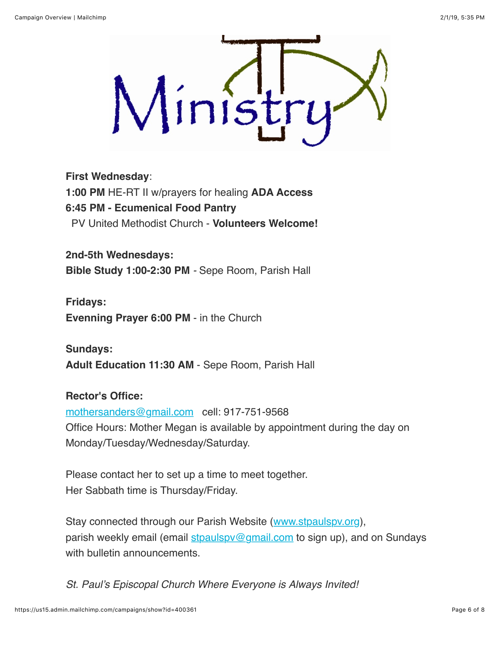

#### **First Wednesday**:

**1:00 PM** HE-RT II w/prayers for healing **ADA Access 6:45 PM - Ecumenical Food Pantry** PV United Methodist Church - **Volunteers Welcome!**

**2nd-5th Wednesdays: Bible Study 1:00-2:30 PM** *-* Sepe Room, Parish Hall

**Fridays: Evenning Prayer 6:00 PM** - in the Church

**Sundays: Adult Education 11:30 AM** - Sepe Room, Parish Hall

# **Rector's Office:**

[mothersanders@gmail.com](mailto:mothersanders@gmail.com) cell: 917-751-9568 Office Hours: Mother Megan is available by appointment during the day on Monday/Tuesday/Wednesday/Saturday.

Please contact her to set up a time to meet together. Her Sabbath time is Thursday/Friday.

Stay connected through our Parish Website ([www.stpaulspv.org\)](http://www.stpaulspv.org/), parish weekly email (email stpaulspy@gmail.com to sign up), and on Sundays with bulletin announcements.

*St. Paul's Episcopal Church Where Everyone is Always Invited!*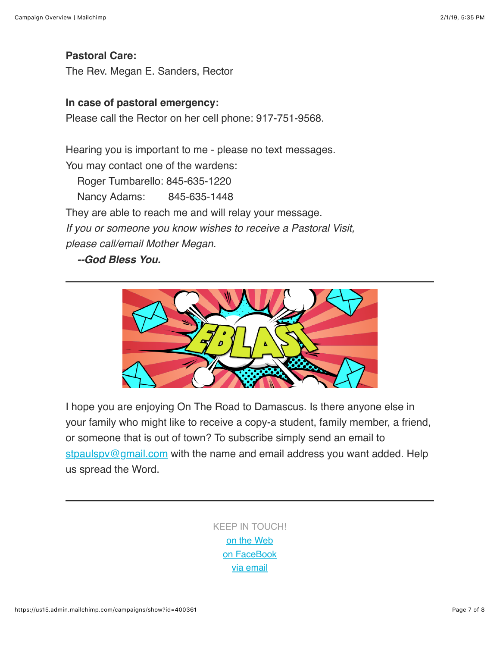**Pastoral Care:** The Rev. Megan E. Sanders, Rector

#### **In case of pastoral emergency:**

Please call the Rector on her cell phone: 917-751-9568.

Hearing you is important to me - please no text messages. You may contact one of the wardens: Roger Tumbarello: 845-635-1220 Nancy Adams: 845-635-1448 They are able to reach me and will relay your message. *If you or someone you know wishes to receive a Pastoral Visit, please call/email Mother Megan. --God Bless You.*



I hope you are enjoying On The Road to Damascus. Is there anyone else in your family who might like to receive a copy-a student, family member, a friend, or someone that is out of town? To subscribe simply send an email to stpaulspy@gmail.com with the name and email address you want added. Help us spread the Word.

> KEEP IN TOUCH! [o](http://stpaulspv.org/)[n the Web](http://www.stpaulspv.org/) [on FaceBook](https://www.facebook.com/stpaulspleasantvalley/) [via email](mailto:stpaulspv@gmail)